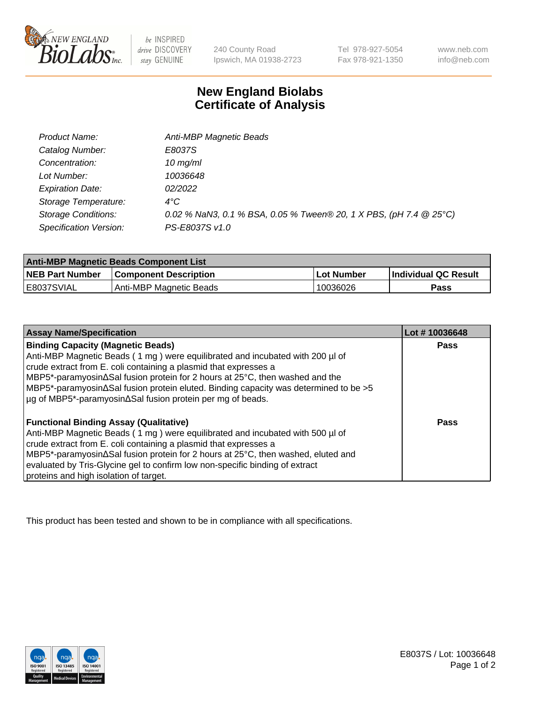

 $be$  INSPIRED drive DISCOVERY stay GENUINE

240 County Road Ipswich, MA 01938-2723 Tel 978-927-5054 Fax 978-921-1350

www.neb.com info@neb.com

## **New England Biolabs Certificate of Analysis**

| Product Name:              | Anti-MBP Magnetic Beads                                            |
|----------------------------|--------------------------------------------------------------------|
| Catalog Number:            | E8037S                                                             |
| Concentration:             | $10$ mg/ml                                                         |
| Lot Number:                | 10036648                                                           |
| <b>Expiration Date:</b>    | 02/2022                                                            |
| Storage Temperature:       | $4^{\circ}$ C                                                      |
| <b>Storage Conditions:</b> | 0.02 % NaN3, 0.1 % BSA, 0.05 % Tween® 20, 1 X PBS, (pH 7.4 @ 25°C) |
| Specification Version:     | PS-E8037S v1.0                                                     |

| <b>Anti-MBP Magnetic Beads Component List</b> |                              |            |                      |  |
|-----------------------------------------------|------------------------------|------------|----------------------|--|
| <b>NEB Part Number</b>                        | <b>Component Description</b> | Lot Number | Individual QC Result |  |
| E8037SVIAL                                    | Anti-MBP Magnetic Beads      | 10036026   | Pass                 |  |

| <b>Assay Name/Specification</b>                                                      | Lot #10036648 |
|--------------------------------------------------------------------------------------|---------------|
| <b>Binding Capacity (Magnetic Beads)</b>                                             | <b>Pass</b>   |
| Anti-MBP Magnetic Beads (1 mg) were equilibrated and incubated with 200 µl of        |               |
| crude extract from E. coli containing a plasmid that expresses a                     |               |
| MBP5*-paramyosin∆Sal fusion protein for 2 hours at 25°C, then washed and the         |               |
| MBP5*-paramyosin∆Sal fusion protein eluted. Binding capacity was determined to be >5 |               |
| µg of MBP5*-paramyosin∆Sal fusion protein per mg of beads.                           |               |
| <b>Functional Binding Assay (Qualitative)</b>                                        | Pass          |
| Anti-MBP Magnetic Beads (1 mg) were equilibrated and incubated with 500 µl of        |               |
| crude extract from E. coli containing a plasmid that expresses a                     |               |
| MBP5*-paramyosin∆Sal fusion protein for 2 hours at 25°C, then washed, eluted and     |               |
| evaluated by Tris-Glycine gel to confirm low non-specific binding of extract         |               |
| proteins and high isolation of target.                                               |               |

This product has been tested and shown to be in compliance with all specifications.